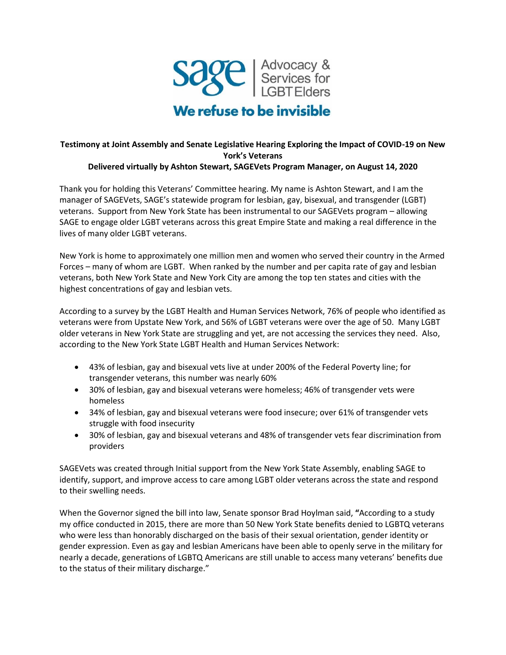

## **Testimony at Joint Assembly and Senate Legislative Hearing Exploring the Impact of COVID-19 on New York's Veterans Delivered virtually by Ashton Stewart, SAGEVets Program Manager, on August 14, 2020**

Thank you for holding this Veterans' Committee hearing. My name is Ashton Stewart, and I am the manager of SAGEVets, SAGE's statewide program for lesbian, gay, bisexual, and transgender (LGBT) veterans. Support from New York State has been instrumental to our SAGEVets program – allowing SAGE to engage older LGBT veterans across this great Empire State and making a real difference in the lives of many older LGBT veterans.

New York is home to approximately one million men and women who served their country in the Armed Forces – many of whom are LGBT. When ranked by the number and per capita rate of gay and lesbian veterans, both New York State and New York City are among the top ten states and cities with the highest concentrations of gay and lesbian vets.

According to a survey by the LGBT Health and Human Services Network, 76% of people who identified as veterans were from Upstate New York, and 56% of LGBT veterans were over the age of 50. Many LGBT older veterans in New York State are struggling and yet, are not accessing the services they need. Also, according to the New York State LGBT Health and Human Services Network:

- 43% of lesbian, gay and bisexual vets live at under 200% of the Federal Poverty line; for transgender veterans, this number was nearly 60%
- 30% of lesbian, gay and bisexual veterans were homeless; 46% of transgender vets were homeless
- 34% of lesbian, gay and bisexual veterans were food insecure; over 61% of transgender vets struggle with food insecurity
- 30% of lesbian, gay and bisexual veterans and 48% of transgender vets fear discrimination from providers

SAGEVets was created through Initial support from the New York State Assembly, enabling SAGE to identify, support, and improve access to care among LGBT older veterans across the state and respond to their swelling needs.

When the Governor signed the bill into law, Senate sponsor Brad Hoylman said, **"**According to a study my office conducted in 2015, there are more than 50 New York State benefits denied to LGBTQ veterans who were less than honorably discharged on the basis of their sexual orientation, gender identity or gender expression. Even as gay and lesbian Americans have been able to openly serve in the military for nearly a decade, generations of LGBTQ Americans are still unable to access many veterans' benefits due to the status of their military discharge."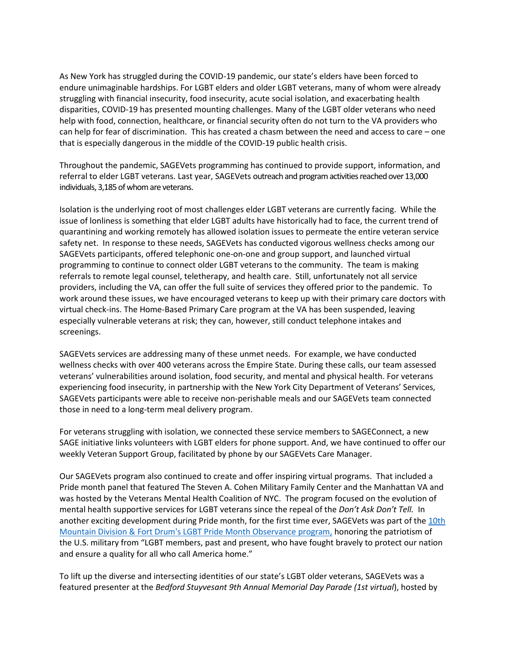As New York has struggled during the COVID-19 pandemic, our state's elders have been forced to endure unimaginable hardships. For LGBT elders and older LGBT veterans, many of whom were already struggling with financial insecurity, food insecurity, acute social isolation, and exacerbating health disparities, COVID-19 has presented mounting challenges. Many of the LGBT older veterans who need help with food, connection, healthcare, or financial security often do not turn to the VA providers who can help for fear of discrimination. This has created a chasm between the need and access to care – one that is especially dangerous in the middle of the COVID-19 public health crisis.

Throughout the pandemic, SAGEVets programming has continued to provide support, information, and referral to elder LGBT veterans. Last year, SAGEVets outreach and program activities reached over 13,000 individuals, 3,185 of whom are veterans.

Isolation is the underlying root of most challenges elder LGBT veterans are currently facing. While the issue of lonliness is something that elder LGBT adults have historically had to face, the current trend of quarantining and working remotely has allowed isolation issues to permeate the entire veteran service safety net. In response to these needs, SAGEVets has conducted vigorous wellness checks among our SAGEVets participants, offered telephonic one-on-one and group support, and launched virtual programming to continue to connect older LGBT veterans to the community. The team is making referrals to remote legal counsel, teletherapy, and health care. Still, unfortunately not all service providers, including the VA, can offer the full suite of services they offered prior to the pandemic. To work around these issues, we have encouraged veterans to keep up with their primary care doctors with virtual check-ins. The Home-Based Primary Care program at the VA has been suspended, leaving especially vulnerable veterans at risk; they can, however, still conduct telephone intakes and screenings.

SAGEVets services are addressing many of these unmet needs. For example, we have conducted wellness checks with over 400 veterans across the Empire State. During these calls, our team assessed veterans' vulnerabilities around isolation, food security, and mental and physical health. For veterans experiencing food insecurity, in partnership with the New York City Department of Veterans' Services, SAGEVets participants were able to receive non-perishable meals and our SAGEVets team connected those in need to a long-term meal delivery program.

For veterans struggling with isolation, we connected these service members to SAGEConnect, a new SAGE initiative links volunteers with LGBT elders for phone support. And, we have continued to offer our weekly Veteran Support Group, facilitated by phone by our SAGEVets Care Manager.

Our SAGEVets program also continued to create and offer inspiring virtual programs. That included a Pride month panel that featured The Steven A. Cohen Military Family Center and the Manhattan VA and was hosted by the Veterans Mental Health Coalition of NYC. The program focused on the evolution of mental health supportive services for LGBT veterans since the repeal of the *Don't Ask Don't Tell.* In another exciting development during Pride month, for the first time ever, SAGEVets was part of the 10th Mountain Division [& Fort Drum's LGBT Pride Month Observance program,](https://www.facebook.com/10thMTNDIV/videos/556881991639135/) honoring the patriotism of the U.S. military from "LGBT members, past and present, who have fought bravely to protect our nation and ensure a quality for all who call America home."

To lift up the diverse and intersecting identities of our state's LGBT older veterans, SAGEVets was a featured presenter at the *Bedford Stuyvesant 9th Annual Memorial Day Parade (1st virtual*), hosted by